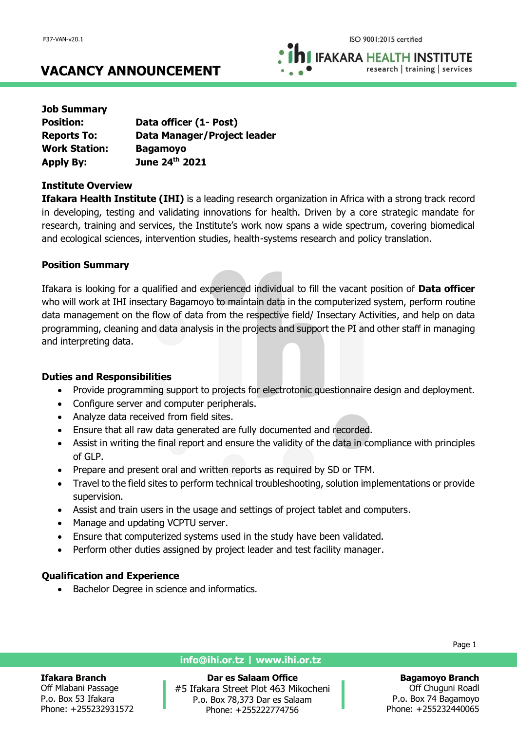**IFAKARA HEALTH INSTITUTE** research | training | services

# **VACANCY ANNOUNCEMENT**

| <b>Job Summary</b>   |                             |
|----------------------|-----------------------------|
| <b>Position:</b>     | Data officer (1- Post)      |
| <b>Reports To:</b>   | Data Manager/Project leader |
| <b>Work Station:</b> | <b>Bagamoyo</b>             |
| <b>Apply By:</b>     | June 24th 2021              |

## **Institute Overview**

**Ifakara Health Institute (IHI)** is a leading research organization in Africa with a strong track record in developing, testing and validating innovations for health. Driven by a core strategic mandate for research, training and services, the Institute's work now spans a wide spectrum, covering biomedical and ecological sciences, intervention studies, health-systems research and policy translation.

# **Position Summary**

Ifakara is looking for a qualified and experienced individual to fill the vacant position of **Data officer** who will work at IHI insectary Bagamoyo to maintain data in the computerized system, perform routine data management on the flow of data from the respective field/ Insectary Activities, and help on data programming, cleaning and data analysis in the projects and support the PI and other staff in managing and interpreting data.

# **Duties and Responsibilities**

- Provide programming support to projects for electrotonic questionnaire design and deployment.
- Configure server and computer peripherals.
- Analyze data received from field sites.
- Ensure that all raw data generated are fully documented and recorded.
- Assist in writing the final report and ensure the validity of the data in compliance with principles of GLP.
- Prepare and present oral and written reports as required by SD or TFM.
- Travel to the field sites to perform technical troubleshooting, solution implementations or provide supervision.
- Assist and train users in the usage and settings of project tablet and computers.
- Manage and updating VCPTU server.
- Ensure that computerized systems used in the study have been validated.
- Perform other duties assigned by project leader and test facility manager.

# **Qualification and Experience**

Bachelor Degree in science and informatics.

### **Ifakara Branch**

Off Mlabani Passage P.o. Box 53 Ifakara Phone: +255232931572

### **info@ihi.or.tz | www.ihi.or.tz**

**Dar es Salaam Office** #5 Ifakara Street Plot 463 Mikocheni P.o. Box 78,373 Dar es Salaam Phone: +255222774756

Page 1

### **Bagamoyo Branch**

Off Chuguni Roadl P.o. Box 74 Bagamoyo Phone: +255232440065